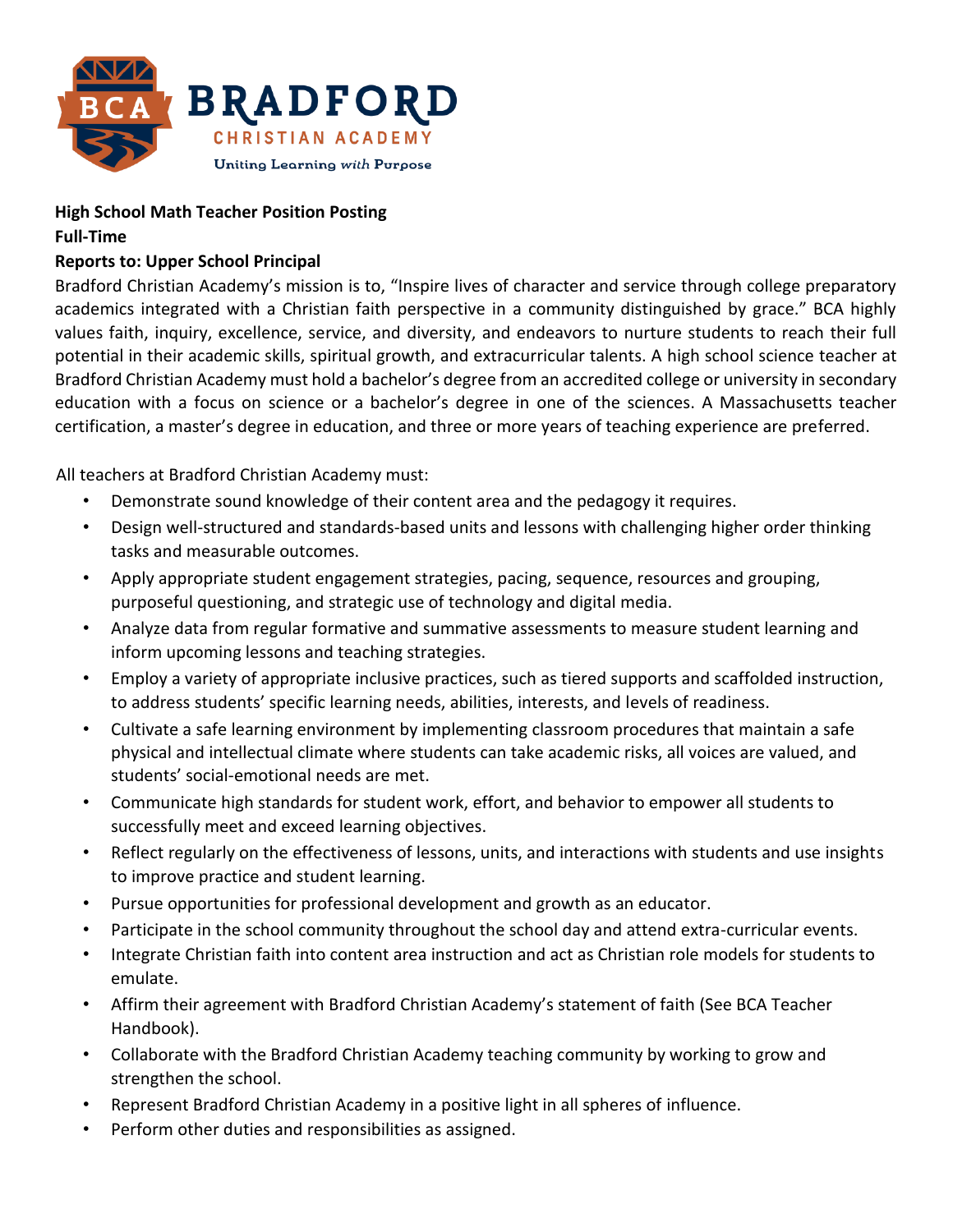

## **High School Math Teacher Position Posting**

**Full-Time** 

## **Reports to: Upper School Principal**

Bradford Christian Academy's mission is to, "Inspire lives of character and service through college preparatory academics integrated with a Christian faith perspective in a community distinguished by grace." BCA highly values faith, inquiry, excellence, service, and diversity, and endeavors to nurture students to reach their full potential in their academic skills, spiritual growth, and extracurricular talents. A high school science teacher at Bradford Christian Academy must hold a bachelor's degree from an accredited college or university in secondary education with a focus on science or a bachelor's degree in one of the sciences. A Massachusetts teacher certification, a master's degree in education, and three or more years of teaching experience are preferred.

All teachers at Bradford Christian Academy must:

- Demonstrate sound knowledge of their content area and the pedagogy it requires.
- Design well-structured and standards-based units and lessons with challenging higher order thinking tasks and measurable outcomes.
- Apply appropriate student engagement strategies, pacing, sequence, resources and grouping, purposeful questioning, and strategic use of technology and digital media.
- Analyze data from regular formative and summative assessments to measure student learning and inform upcoming lessons and teaching strategies.
- Employ a variety of appropriate inclusive practices, such as tiered supports and scaffolded instruction, to address students' specific learning needs, abilities, interests, and levels of readiness.
- Cultivate a safe learning environment by implementing classroom procedures that maintain a safe physical and intellectual climate where students can take academic risks, all voices are valued, and students' social-emotional needs are met.
- Communicate high standards for student work, effort, and behavior to empower all students to successfully meet and exceed learning objectives.
- Reflect regularly on the effectiveness of lessons, units, and interactions with students and use insights to improve practice and student learning.
- Pursue opportunities for professional development and growth as an educator.
- Participate in the school community throughout the school day and attend extra-curricular events.
- Integrate Christian faith into content area instruction and act as Christian role models for students to emulate.
- Affirm their agreement with Bradford Christian Academy's statement of faith (See BCA Teacher Handbook).
- Collaborate with the Bradford Christian Academy teaching community by working to grow and strengthen the school.
- Represent Bradford Christian Academy in a positive light in all spheres of influence.
- Perform other duties and responsibilities as assigned.